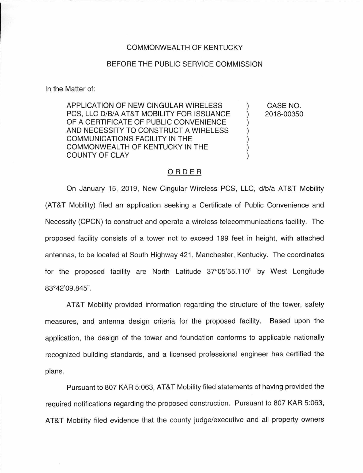## COMMONWEAL TH OF KENTUCKY

## BEFORE THE PUBLIC SERVICE COMMISSION

In the Matter of:

APPLICATION OF NEW CINGULAR WIRELESS PCS, LLC D/B/A AT&T MOBILITY FOR ISSUANCE OF A CERTIFICATE OF PUBLIC CONVENIENCE AND NECESSITY TO CONSTRUCT A WIRELESS COMMUNICATIONS FACILITY IN THE COMMONWEALTH OF KENTUCKY IN THE COUNTY OF CLAY

CASE NO. 2018-00350

 $\mathcal{C}$  $\mathcal{E}$  $\mathcal{E}$  $\mathcal{C}$ 

## ORDER

On January 15, 2019, New Cingular Wireless PCS, LLC, d/b/a AT&T Mobility (AT&T Mobility) filed an application seeking a Certificate of Public Convenience and Necessity (CPCN) to construct and operate a wireless telecommunications facility. The proposed facility consists of a tower not to exceed 199 feet in height, with attached antennas, to be located at South Highway 421 , Manchester, Kentucky. The coordinates for the proposed facility are North Latitude 37°05'55.110" by West Longitude 83°42'09.845".

AT&T Mobility provided information regarding the structure of the tower, safety measures, and antenna design criteria for the proposed facility. Based upon the application, the design of the tower and foundation conforms to applicable nationally recognized building standards, and a licensed professional engineer has certified the plans.

Pursuant to 807 KAR 5:063, AT&T Mobility filed statements of having provided the required notifications regarding the proposed construction. Pursuant to 807 KAR 5:063, AT&T Mobility filed evidence that the county judge/executive and all property owners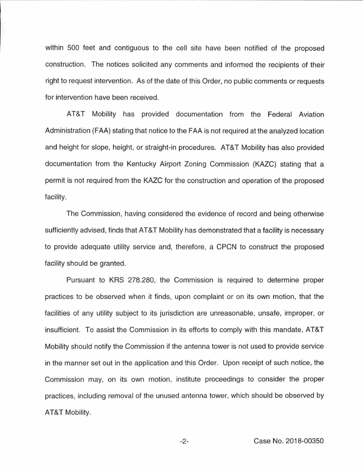within 500 feet and contiguous to the cell site have been notified of the proposed construction. The notices solicited any comments and informed the recipients of their right to request intervention. As of the date of this Order, no public comments or requests for intervention have been received.

AT&T Mobility has provided documentation from the Federal Aviation Administration (FAA) stating that notice to the FAA is not required at the analyzed location and height for slope, height, or straight-in procedures. AT&T Mobility has also provided documentation from the Kentucky Airport Zoning Commission (KAZC) stating that a permit is not required from the KAZC for the construction and operation of the proposed facility.

The Commission, having considered the evidence of record and being otherwise sufficiently advised, finds that AT&T Mobility has demonstrated that a facility is necessary to provide adequate utility service and, therefore, a CPCN to construct the proposed facility should be granted.

Pursuant to KRS 278.280, the Commission is required to determine proper practices to be observed when it finds, upon complaint or on its own motion, that the facilities of any utility subject to its jurisdiction are unreasonable, unsafe, improper, or insufficient. To assist the Commission in its efforts to comply with this mandate, AT&T Mobility should notify the Commission if the antenna tower is not used to provide service in the manner set out in the application and this Order. Upon receipt of such notice, the Commission may, on its own motion, institute proceedings to consider the proper practices, including removal of the unused antenna tower, which should be observed by AT&T Mobility.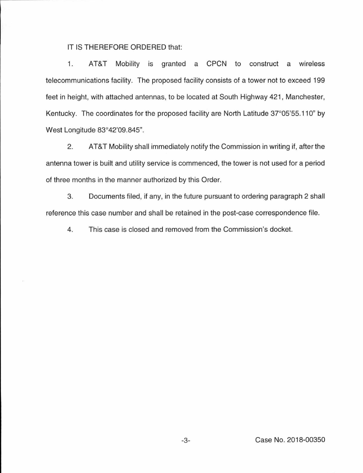## IT IS THEREFORE ORDERED that:

1. AT&T Mobility is granted a CPCN to construct a wireless telecommunications facility. The proposed facility consists of a tower not to exceed 199 feet in height, with attached antennas, to be located at South Highway 421 , Manchester, Kentucky. The coordinates for the proposed facility are North Latitude 37°05'55.110" by West Longitude 83°42'09.845".

2. AT&T Mobility shall immediately notify the Commission in writing if, after the antenna tower is built and utility service is commenced, the tower is not used for a period of three months in the manner authorized by this Order.

3. Documents filed, if any, in the future pursuant to ordering paragraph 2 shall reference this case number and shall be retained in the post-case correspondence file.

4. This case is closed and removed from the Commission's docket.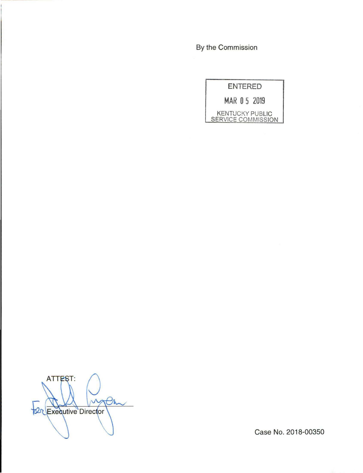By the Commission

|                    | ENTERED |                        |
|--------------------|---------|------------------------|
| MAR 05 2019        |         |                        |
| SERVICE COMMISSION |         | <b>KENTUCKY PUBLIC</b> |

ATTEST: Pm W **22 Executive Director** 

Case No. 2018-00350